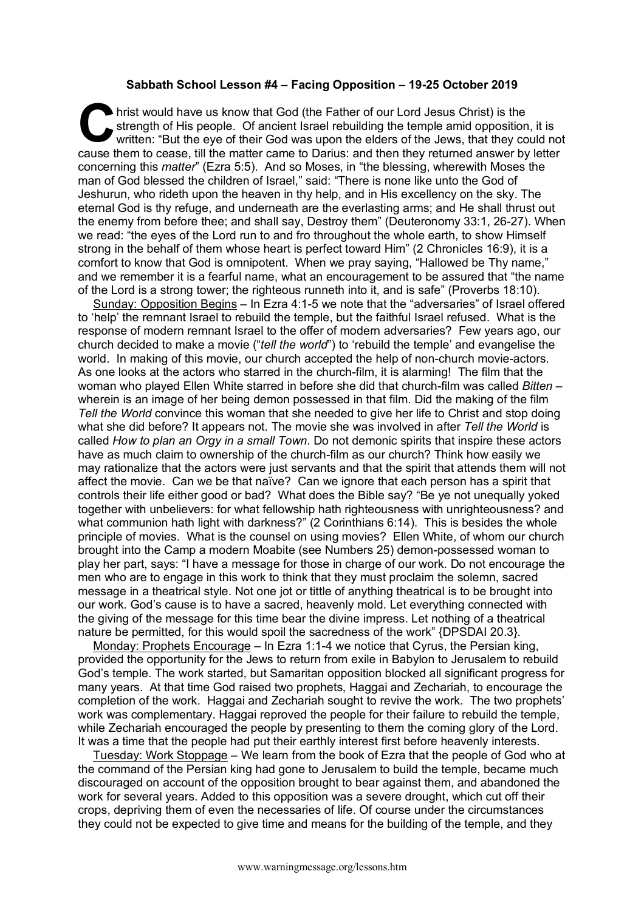## **Sabbath School Lesson #4 – Facing Opposition – 19-25 October 2019**

hrist would have us know that God (the Father of our Lord Jesus Christ) is the strength of His people. Of ancient Israel rebuilding the temple amid opposition written: "But the eye of their God was upon the elders of the J strength of His people. Of ancient Israel rebuilding the temple amid opposition, it is written: "But the eye of their God was upon the elders of the Jews, that they could not cause them to cease, till the matter came to Darius: and then they returned answer by letter concerning this *matter*" (Ezra 5:5). And so Moses, in "the blessing, wherewith Moses the man of God blessed the children of Israel," said: "There is none like unto the God of Jeshurun, who rideth upon the heaven in thy help, and in His excellency on the sky. The eternal God is thy refuge, and underneath are the everlasting arms; and He shall thrust out the enemy from before thee; and shall say, Destroy them" (Deuteronomy 33:1, 26-27). When we read: "the eyes of the Lord run to and fro throughout the whole earth, to show Himself strong in the behalf of them whose heart is perfect toward Him" (2 Chronicles 16:9), it is a comfort to know that God is omnipotent. When we pray saying, "Hallowed be Thy name," and we remember it is a fearful name, what an encouragement to be assured that "the name of the Lord is a strong tower; the righteous runneth into it, and is safe" (Proverbs 18:10).

Sunday: Opposition Begins – In Ezra 4:1-5 we note that the "adversaries" of Israel offered to 'help' the remnant Israel to rebuild the temple, but the faithful Israel refused. What is the response of modern remnant Israel to the offer of modern adversaries? Few years ago, our church decided to make a movie ("*tell the world*") to 'rebuild the temple' and evangelise the world. In making of this movie, our church accepted the help of non-church movie-actors. As one looks at the actors who starred in the church-film, it is alarming! The film that the woman who played Ellen White starred in before she did that church-film was called *Bitten* – wherein is an image of her being demon possessed in that film. Did the making of the film *Tell the World* convince this woman that she needed to give her life to Christ and stop doing what she did before? It appears not. The movie she was involved in after *Tell the World* is called *How to plan an Orgy in a small Town*. Do not demonic spirits that inspire these actors have as much claim to ownership of the church-film as our church? Think how easily we may rationalize that the actors were just servants and that the spirit that attends them will not affect the movie. Can we be that naïve? Can we ignore that each person has a spirit that controls their life either good or bad? What does the Bible say? "Be ye not unequally yoked together with unbelievers: for what fellowship hath righteousness with unrighteousness? and what communion hath light with darkness?" (2 Corinthians 6:14). This is besides the whole principle of movies. What is the counsel on using movies? Ellen White, of whom our church brought into the Camp a modern Moabite (see Numbers 25) demon-possessed woman to play her part, says: "I have a message for those in charge of our work. Do not encourage the men who are to engage in this work to think that they must proclaim the solemn, sacred message in a theatrical style. Not one jot or tittle of anything theatrical is to be brought into our work. God's cause is to have a sacred, heavenly mold. Let everything connected with the giving of the message for this time bear the divine impress. Let nothing of a theatrical nature be permitted, for this would spoil the sacredness of the work" {DPSDAI 20.3}.

Monday: Prophets Encourage – In Ezra 1:1-4 we notice that Cyrus, the Persian king, provided the opportunity for the Jews to return from exile in Babylon to Jerusalem to rebuild God's temple. The work started, but Samaritan opposition blocked all significant progress for many years. At that time God raised two prophets, Haggai and Zechariah, to encourage the completion of the work. Haggai and Zechariah sought to revive the work. The two prophets' work was complementary. Haggai reproved the people for their failure to rebuild the temple, while Zechariah encouraged the people by presenting to them the coming glory of the Lord. It was a time that the people had put their earthly interest first before heavenly interests.

Tuesday: Work Stoppage – We learn from the book of Ezra that the people of God who at the command of the Persian king had gone to Jerusalem to build the temple, became much discouraged on account of the opposition brought to bear against them, and abandoned the work for several years. Added to this opposition was a severe drought, which cut off their crops, depriving them of even the necessaries of life. Of course under the circumstances they could not be expected to give time and means for the building of the temple, and they